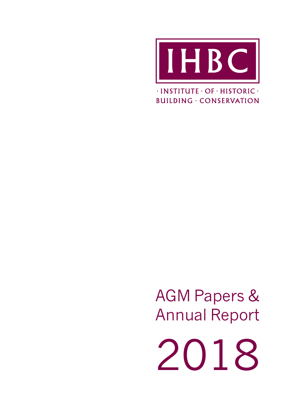

 $\cdot$ INSTITUTE  $\cdot$  OF  $\cdot$  HISTORIC  $\cdot$ **BUILDING · CONSERVATION** 

AGM Papers & Annual Report

2018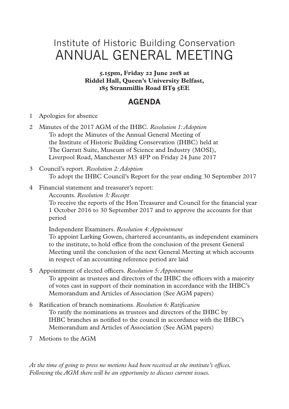## Institute of Historic Building Conservation ANNUAL GENERAL MEETING

**5.15pm, Friday 22 June 2018 at Riddel Hall, Queen's University Belfast, 185 Stranmillis Road BT9 5EE**

## **AGENDA**

- 1 Apologies for absence
- 2 Minutes of the 2017 AGM of the IHBC. *Resolution 1: Adoption* To adopt the Minutes of the Annual General Meeting of the Institute of Historic Building Conservation (IHBC) held at The Garratt Suite, Museum of Science and Industry (MOSI), Liverpool Road, Manchester M3 4FP on Friday 24 June 2017
- 3 Council's report. *Resolution 2: Adoption* To adopt the IHBC Council's Report for the year ending 30 September 2017
- 4 Financial statement and treasurer's report:

Accounts. *Resolution 3: Receipt*

To receive the reports of the Hon Treasurer and Council for the financial year 1 October 2016 to 30 September 2017 and to approve the accounts for that period

Independent Examiners. *Resolution 4: Appointment*

To appoint Larking Gowen, chartered accountants, as independent examiners to the institute, to hold office from the conclusion of the present General Meeting until the conclusion of the next General Meeting at which accounts in respect of an accounting reference period are laid

- 5 Appointment of elected officers. *Resolution 5: Appointment* To appoint as trustees and directors of the IHBC the officers with a majority of votes cast in support of their nomination in accordance with the IHBC's Memorandum and Articles of Association (See AGM papers)
- 6 Ratification of branch nominations. *Resolution 6: Ratification* To ratify the nominations as trustees and directors of the IHBC by IHBC branches as notified to the council in accordance with the IHBC's Memorandum and Articles of Association (See AGM papers)
- 7 Motions to the AGM

*At the time of going to press no motions had been received at the institute's offices. Following the AGM there will be an opportunity to discuss current issues.*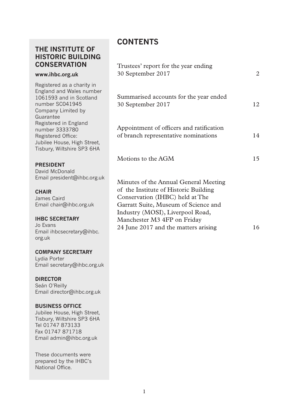## **THE INSTITUTE OF HISTORIC BUILDING CONSERVATION**

#### **www.ihbc.org.uk**

Registered as a charity in England and Wales number 1061593 and in Scotland number SC041945 Company Limited by Guarantee Registered in England number 3333780 Registered Office: Jubilee House, High Street, Tisbury, Wiltshire SP3 6HA

**PRESIDENT** 

David McDonald Email president@ihbc.org.uk

#### **CHAIR**

James Caird Email chair@ihbc.org.uk

#### **IHBC SECRETARY**

Jo Evans Email ihbcsecretary@ihbc. org.uk

## **COMPANY SECRETARY**

Lydia Porter Email secretary@ihbc.org.uk

#### **DIRECTOR**

Seán O'Reilly Email director@ihbc.org.uk

#### **BUSINESS OFFICE**

Jubilee House, High Street, Tisbury, Wiltshire SP3 6HA Tel 01747 873133 Fax 01747 871718 Email admin@ihbc.org.uk

These documents were prepared by the IHBC's National Office.

## **CONTENTS**

| Trustees' report for the year ending<br>30 September 2017                                                                                                                                                                                                            | 2  |
|----------------------------------------------------------------------------------------------------------------------------------------------------------------------------------------------------------------------------------------------------------------------|----|
| Summarised accounts for the year ended<br>30 September 2017                                                                                                                                                                                                          | 12 |
| Appointment of officers and ratification<br>of branch representative nominations                                                                                                                                                                                     | 14 |
| Motions to the AGM                                                                                                                                                                                                                                                   | 15 |
| Minutes of the Annual General Meeting<br>of the Institute of Historic Building<br>Conservation (IHBC) held at The<br>Garratt Suite, Museum of Science and<br>Industry (MOSI), Liverpool Road,<br>Manchester M3 4FP on Friday<br>24 June 2017 and the matters arising | 16 |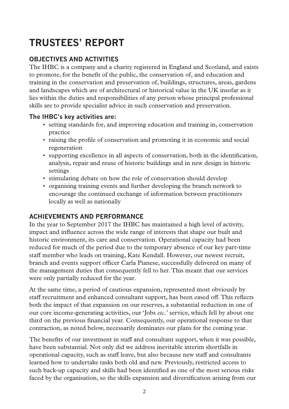# **TRUSTEES' REPORT**

## **OBJECTIVES AND ACTIVITIES**

The IHBC is a company and a charity registered in England and Scotland, and exists to promote, for the benefit of the public, the conservation of, and education and training in the conservation and preservation of, buildings, structures, areas, gardens and landscapes which are of architectural or historical value in the UK insofar as it lies within the duties and responsibilities of any person whose principal professional skills are to provide specialist advice in such conservation and preservation.

#### **The IHBC's key activities are:**

- setting standards for, and improving education and training in, conservation practice
- raising the profile of conservation and promoting it in economic and social regeneration
- supporting excellence in all aspects of conservation, both in the identification, analysis, repair and reuse of historic buildings and in new design in historic settings
- stimulating debate on how the role of conservation should develop
- organising training events and further developing the branch network to encourage the continued exchange of information between practitioners locally as well as nationally

## **ACHIEVEMENTS AND PERFORMANCE**

In the year to September 2017 the IHBC has maintained a high level of activity, impact and influence across the wide range of interests that shape our built and historic environment, its care and conservation. Operational capacity had been reduced for much of the period due to the temporary absence of our key part-time staff member who leads on training, Kate Kendall. However, our newest recruit, branch and events support officer Carla Pianese, successfully delivered on many of the management duties that consequently fell to her. This meant that our services were only partially reduced for the year.

At the same time, a period of cautious expansion, represented most obviously by staff recruitment and enhanced consultant support, has been eased off. This reflects both the impact of that expansion on our reserves, a substantial reduction in one of our core income-generating activities, our 'Jobs *etc.*' service, which fell by about one third on the previous financial year. Consequently, our operational response to that contraction, as noted below, necessarily dominates our plans for the coming year.

The benefits of our investment in staff and consultant support, when it was possible, have been substantial. Not only did we address inevitable interim shortfalls in operational capacity, such as staff leave, but also because new staff and consultants learned how to undertake tasks both old and new. Previously, restricted access to such back-up capacity and skills had been identified as one of the most serious risks faced by the organisation, so the skills expansion and diversification arising from our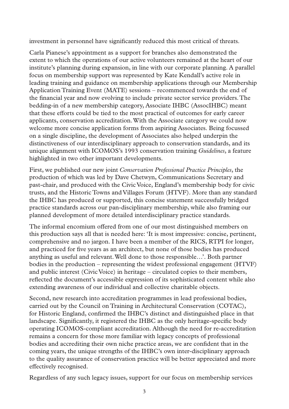investment in personnel have significantly reduced this most critical of threats.

Carla Pianese's appointment as a support for branches also demonstrated the extent to which the operations of our active volunteers remained at the heart of our institute's planning during expansion, in line with our corporate planning. A parallel focus on membership support was represented by Kate Kendall's active role in leading training and guidance on membership applications through our Membership Application Training Event (MATE) sessions – recommenced towards the end of the financial year and now evolving to include private sector service providers. The bedding-in of a new membership category, Associate IHBC (AssocIHBC) meant that these efforts could be tied to the most practical of outcomes for early career applicants, conservation accreditation. With the Associate category we could now welcome more concise application forms from aspiring Associates. Being focussed on a single discipline, the development of Associates also helped underpin the distinctiveness of our interdisciplinary approach to conservation standards, and its unique alignment with ICOMOS's 1993 conservation training *Guidelines*, a feature highlighted in two other important developments.

First, we published our new joint *Conservation Professional Practice Principles*, the production of which was led by Dave Chetwyn, Communications Secretary and past-chair, and produced with the Civic Voice, England's membership body for civic trusts, and the Historic Towns and Villages Forum (HTVF). More than any standard the IHBC has produced or supported, this concise statement successfully bridged practice standards across our pan-disciplinary membership, while also framing our planned development of more detailed interdisciplinary practice standards.

The informal encomium offered from one of our most distinguished members on this production says all that is needed here: 'It is most impressive: concise, pertinent, comprehensive and no jargon. I have been a member of the RICS, RTPI for longer, and practiced for five years as an architect, but none of those bodies has produced anything as useful and relevant. Well done to those responsible…'. Both partner bodies in the production – representing the widest professional engagement (HTVF) and public interest (Civic Voice) in heritage – circulated copies to their members, reflected the document's accessible expression of its sophisticated content while also extending awareness of our individual and collective charitable objects.

Second, new research into accreditation programmes in lead professional bodies, carried out by the Council on Training in Architectural Conservation (COTAC), for Historic England, confirmed the IHBC's distinct and distinguished place in that landscape. Significantly, it registered the IHBC as the only heritage-specific body operating ICOMOS-compliant accreditation. Although the need for re-accreditation remains a concern for those more familiar with legacy concepts of professional bodies and accrediting their own niche practice areas, we are confident that in the coming years, the unique strengths of the IHBC's own inter-disciplinary approach to the quality assurance of conservation practice will be better appreciated and more effectively recognised.

Regardless of any such legacy issues, support for our focus on membership services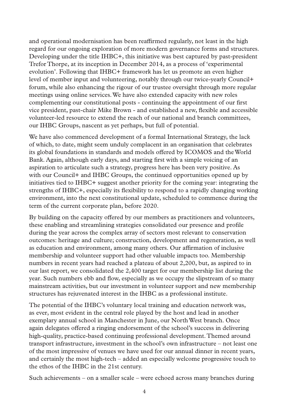and operational modernisation has been reaffirmed regularly, not least in the high regard for our ongoing exploration of more modern governance forms and structures. Developing under the title IHBC+, this initiative was best captured by past-president Trefor Thorpe, at its inception in December 2014, as a process of 'experimental evolution'. Following that IHBC+ framework has let us promote an even higher level of member input and volunteering, notably through our twice-yearly Council+ forum, while also enhancing the rigour of our trustee oversight through more regular meetings using online services. We have also extended capacity with new roles complementing our constitutional posts - continuing the appointment of our first vice president, past-chair Mike Brown - and established a new, flexible and accessible volunteer-led resource to extend the reach of our national and branch committees, our IHBC Groups, nascent as yet perhaps, but full of potential.

We have also commenced development of a formal International Strategy, the lack of which, to date, might seem unduly complacent in an organisation that celebrates its global foundations in standards and models offered by ICOMOS and the World Bank. Again, although early days, and starting first with a simple voicing of an aspiration to articulate such a strategy, progress here has been very positive. As with our Council+ and IHBC Groups, the continued opportunities opened up by initiatives tied to IHBC+ suggest another priority for the coming year: integrating the strengths of IHBC+, especially its flexibility to respond to a rapidly changing working environment, into the next constitutional update, scheduled to commence during the term of the current corporate plan, before 2020.

By building on the capacity offered by our members as practitioners and volunteers, these enabling and streamlining strategies consolidated our presence and profile during the year across the complex array of sectors most relevant to conservation outcomes: heritage and culture; construction, development and regeneration, as well as education and environment, among many others. Our affirmation of inclusive membership and volunteer support had other valuable impacts too. Membership numbers in recent years had reached a plateau of about 2,200, but, as aspired to in our last report, we consolidated the 2,400 target for our membership list during the year. Such numbers ebb and flow, especially as we occupy the slipstream of so many mainstream activities, but our investment in volunteer support and new membership structures has rejuvenated interest in the IHBC as a professional institute.

The potential of the IHBC's voluntary local training and education network was, as ever, most evident in the central role played by the host and lead in another exemplary annual school in Manchester in June, our North West branch. Once again delegates offered a ringing endorsement of the school's success in delivering high-quality, practice-based continuing professional development. Themed around transport infrastructure, investment in the school's own infrastructure – not least one of the most impressive of venues we have used for our annual dinner in recent years, and certainly the most high-tech – added an especially welcome progressive touch to the ethos of the IHBC in the 21st century.

Such achievements – on a smaller scale – were echoed across many branches during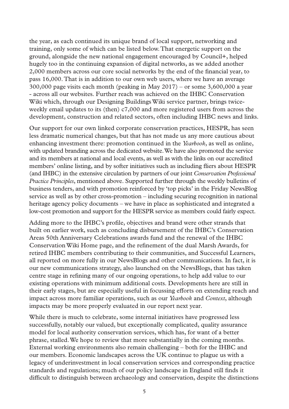the year, as each continued its unique brand of local support, networking and training, only some of which can be listed below. That energetic support on the ground, alongside the new national engagement encouraged by Council+, helped hugely too in the continuing expansion of digital networks, as we added another 2,000 members across our core social networks by the end of the financial year, to pass 16,000. That is in addition to our own web users, where we have an average  $300,000$  page visits each month (peaking in May  $2017$ ) – or some  $3,600,000$  a year - across all our websites. Further reach was achieved on the IHBC Conservation Wiki which, through our Designing Buildings Wiki service partner, brings twiceweekly email updates to its (then) c7,000 and more registered users from across the development, construction and related sectors, often including IHBC news and links.

Our support for our own linked corporate conservation practices, HESPR, has seen less dramatic numerical changes, but that has not made us any more cautious about enhancing investment there: promotion continued in the *Yearbook*, as well as online, with updated branding across the dedicated website. We have also promoted the service and its members at national and local events, as well as with the links on our accredited members' online listing, and by softer initiatives such as including fliers about HESPR (and IHBC) in the extensive circulation by partners of our joint *Conservation Professional Practice Principles*, mentioned above. Supported further through the weekly bulletins of business tenders, and with promotion reinforced by 'top picks' in the Friday NewsBlog service as well as by other cross-promotion – including securing recognition in national heritage agency policy documents – we have in place as sophisticated and integrated a low-cost promotion and support for the HESPR service as members could fairly expect.

Adding more to the IHBC's profile, objectives and brand were other strands that built on earlier work, such as concluding disbursement of the IHBC's Conservation Areas 50th Anniversary Celebrations awards fund and the renewal of the IHBC Conservation Wiki Home page, and the refinement of the dual Marsh Awards, for retired IHBC members contributing to their communities, and Successful Learners, all reported on more fully in our NewsBlogs and other communications. In fact, it is our new communications strategy, also launched on the NewsBlogs, that has taken centre stage in refining many of our ongoing operations, to help add value to our existing operations with minimum additional costs. Developments here are still in their early stages, but are especially useful in focussing efforts on extending reach and impact across more familiar operations, such as our *Yearbook* and *Context*, although impacts may be more properly evaluated in our report next year.

While there is much to celebrate, some internal initiatives have progressed less successfully, notably our valued, but exceptionally complicated, quality assurance model for local authority conservation services, which has, for want of a better phrase, stalled. We hope to review that more substantially in the coming months. External working environments also remain challenging – both for the IHBC and our members. Economic landscapes across the UK continue to plague us with a legacy of underinvestment in local conservation services and corresponding practice standards and regulations; much of our policy landscape in England still finds it difficult to distinguish between archaeology and conservation, despite the distinctions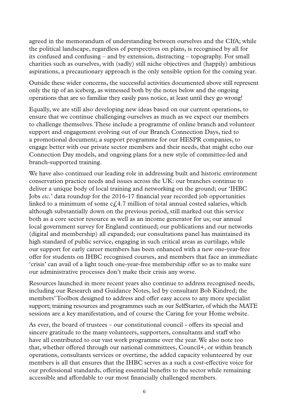agreed in the memorandum of understanding between ourselves and the CIfA; while the political landscape, regardless of perspectives on plans, is recognised by all for its confused and confusing – and by extension, distracting – topography. For small charities such as ourselves, with (sadly) still niche objectives and (happily) ambitious aspirations, a precautionary approach is the only sensible option for the coming year.

Outside these wider concerns, the successful activities documented above still represent only the tip of an iceberg, as witnessed both by the notes below and the ongoing operations that are so familiar they easily pass notice, at least until they go wrong!

Equally, we are still also developing new ideas based on our current operations, to ensure that we continue challenging ourselves as much as we expect our members to challenge themselves. These include a programme of online branch and volunteer support and engagement evolving out of our Branch Connection Days, tied to a promotional document; a support programme for our HESPR companies, to engage better with our private sector members and their needs, that might echo our Connection Day models, and ongoing plans for a new style of committee-led and branch-supported training.

We have also continued our leading role in addressing built and historic environment conservation practice needs and issues across the UK: our branches continue to deliver a unique body of local training and networking on the ground; our 'IHBC Jobs *etc.*' data roundup for the 2016-17 financial year recorded job opportunities linked to a minimum of some  $c_f$  at  $7$  million of total annual costed salaries, which although substantially down on the previous period, still marked out this service both as a core sector resource as well as an income generator for us; our annual local government survey for England continued; our publications and our networks (digital and membership) all expanded; our consultations panel has maintained its high standard of public service, engaging in such critical areas as curtilage, while our support for early career members has been enhanced with a new one-year-free offer for students on IHBC recognised courses, and members that face an immediate 'crisis' can avail of a light touch one-year-free membership offer so as to make sure our administrative processes don't make their crisis any worse.

Resources launched in more recent years also continue to address recognised needs, including our Research and Guidance Notes, led by consultant Bob Kindred; the members' Toolbox designed to address and offer easy access to any more specialist support; training resources and programmes such as our SelfStarter, of which the MATE sessions are a key manifestation, and of course the Caring for your Home website.

As ever, the board of trustees – our constitutional council - offers its special and sincere gratitude to the many volunteers, supporters, consultants and staff who have all contributed to our vast work programme over the year. We also note too that, whether offered through our national committees, Council+, or within branch operations, consultants services or overtime, the added capacity volunteered by our members is all that ensures that the IHBC serves as a such a cost-effective voice for our professional standards, offering essential benefits to the sector while remaining accessible and affordable to our most financially challenged members.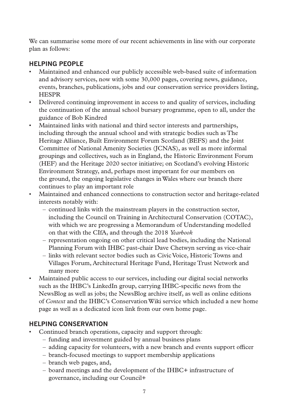We can summarise some more of our recent achievements in line with our corporate plan as follows:

## **HELPING PEOPLE**

- Maintained and enhanced our publicly accessible web-based suite of information and advisory services, now with some 30,000 pages, covering news, guidance, events, branches, publications, jobs and our conservation service providers listing, **HESPR**
- Delivered continuing improvement in access to and quality of services, including the continuation of the annual school bursary programme, open to all, under the guidance of Bob Kindred
- Maintained links with national and third sector interests and partnerships, including through the annual school and with strategic bodies such as The Heritage Alliance, Built Environment Forum Scotland (BEFS) and the Joint Committee of National Amenity Societies (JCNAS), as well as more informal groupings and collectives, such as in England, the Historic Environment Forum (HEF) and the Heritage 2020 sector initiative; on Scotland's evolving Historic Environment Strategy, and, perhaps most important for our members on the ground, the ongoing legislative changes in Wales where our branch there continues to play an important role
- Maintained and enhanced connections to construction sector and heritage-related interests notably with:
	- continued links with the mainstream players in the construction sector, including the Council on Training in Architectural Conservation (COTAC), with which we are progressing a Memorandum of Understanding modelled on that with the CIfA, and through the 2018 *Yearbook*
	- representation ongoing on other critical lead bodies, including the National Planning Forum with IHBC past-chair Dave Chetwyn serving as vice-chair
	- links with relevant sector bodies such as Civic Voice, Historic Towns and Villages Forum, Architectural Heritage Fund, Heritage Trust Network and many more
- Maintained public access to our services, including our digital social networks such as the IHBC's LinkedIn group, carrying IHBC-specific news from the NewsBlog as well as jobs; the NewsBlog archive itself, as well as online editions of *Context* and the IHBC's Conservation Wiki service which included a new home page as well as a dedicated icon link from our own home page.

## **HELPING CONSERVATION**

- Continued branch operations, capacity and support through:
	- funding and investment guided by annual business plans
	- adding capacity for volunteers, with a new branch and events support officer
	- branch-focused meetings to support membership applications
	- branch web pages, and,
	- board meetings and the development of the IHBC+ infrastructure of governance, including our Council+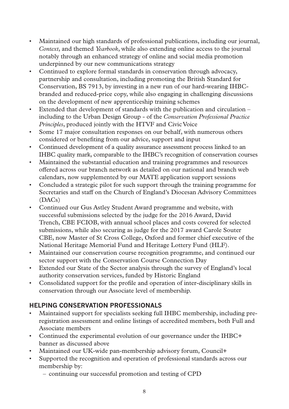- Maintained our high standards of professional publications, including our journal, *Context*, and themed *Yearbook*, while also extending online access to the journal notably through an enhanced strategy of online and social media promotion underpinned by our new communications strategy
- Continued to explore formal standards in conservation through advocacy, partnership and consultation, including promoting the British Standard for Conservation, BS 7913, by investing in a new run of our hard-wearing IHBCbranded and reduced-price copy, while also engaging in challenging discussions on the development of new apprenticeship training schemes
- Extended that development of standards with the publication and circulation including to the Urban Design Group - of the *Conservation Professional Practice Principles*, produced jointly with the HTVF and Civic Voice
- Some 17 major consultation responses on our behalf, with numerous others considered or benefiting from our advice, support and input
- Continued development of a quality assurance assessment process linked to an IHBC quality mark, comparable to the IHBC's recognition of conservation courses
- Maintained the substantial education and training programmes and resources offered across our branch network as detailed on our national and branch web calendars, now supplemented by our MATE application support sessions
- Concluded a strategic pilot for such support through the training programme for Secretaries and staff on the Church of England's Diocesan Advisory Committees (DACs)
- Continued our Gus Astley Student Award programme and website, with successful submissions selected by the judge for the 2016 Award, David Trench, CBE FCIOB, with annual school places and costs covered for selected submissions, while also securing as judge for the 2017 award Carole Souter CBE, now Master of St Cross College, Oxford and former chief executive of the National Heritage Memorial Fund and Heritage Lottery Fund (HLF).
- Maintained our conservation course recognition programme, and continued our sector support with the Conservation Course Connection Day
- Extended our State of the Sector analysis through the survey of England's local authority conservation services, funded by Historic England
- Consolidated support for the profile and operation of inter-disciplinary skills in conservation through our Associate level of membership.

## **HELPING CONSERVATION PROFESSIONALS**

- Maintained support for specialists seeking full IHBC membership, including preregistration assessment and online listings of accredited members, both Full and Associate members
- Continued the experimental evolution of our governance under the IHBC+ banner as discussed above
- Maintained our UK-wide pan-membership advisory forum, Council+
- Supported the recognition and operation of professional standards across our membership by:
	- continuing our successful promotion and testing of CPD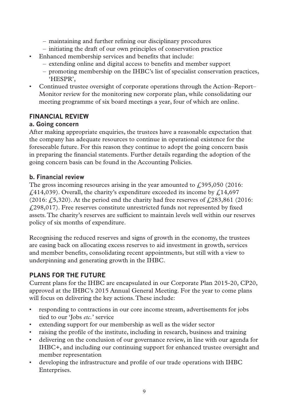- maintaining and further refining our disciplinary procedures
- initiating the draft of our own principles of conservation practice
- Enhanced membership services and benefits that include:
	- extending online and digital access to benefits and member support
	- promoting membership on the IHBC's list of specialist conservation practices, 'HESPR',
- Continued trustee oversight of corporate operations through the Action–Report– Monitor review for the monitoring new corporate plan, while consolidating our meeting programme of six board meetings a year, four of which are online.

## **FINANCIAL REVIEW**

#### **a. Going concern**

After making appropriate enquiries, the trustees have a reasonable expectation that the company has adequate resources to continue in operational existence for the foreseeable future. For this reason they continue to adopt the going concern basis in preparing the financial statements. Further details regarding the adoption of the going concern basis can be found in the Accounting Policies.

## **b. Financial review**

The gross incoming resources arising in the year amounted to  $\text{\textsterling}395,050$  (2016:  $£414,039)$ . Overall, the charity's expenditure exceeded its income by  $£14,697$ (2016:  $f(5,320)$ ). At the period end the charity had free reserves of  $f(283,861)$  (2016: £298,017). Free reserves constitute unrestricted funds not represented by fixed assets. The charity's reserves are sufficient to maintain levels well within our reserves policy of six months of expenditure.

Recognising the reduced reserves and signs of growth in the economy, the trustees are easing back on allocating excess reserves to aid investment in growth, services and member benefits, consolidating recent appointments, but still with a view to underpinning and generating growth in the IHBC.

## **PLANS FOR THE FUTURE**

Current plans for the IHBC are encapsulated in our Corporate Plan 2015-20, CP20, approved at the IHBC's 2015 Annual General Meeting. For the year to come plans will focus on delivering the key actions. These include:

- responding to contractions in our core income stream, advertisements for jobs tied to our 'Jobs *etc.*' service
- extending support for our membership as well as the wider sector
- raising the profile of the institute, including in research, business and training
- delivering on the conclusion of our governance review, in line with our agenda for IHBC+, and including our continuing support for enhanced trustee oversight and member representation
- developing the infrastructure and profile of our trade operations with IHBC Enterprises.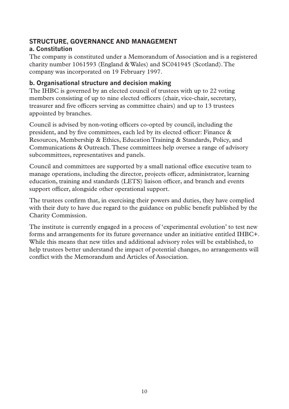## **STRUCTURE, GOVERNANCE AND MANAGEMENT a. Constitution**

The company is constituted under a Memorandum of Association and is a registered charity number 1061593 (England & Wales) and SC041945 (Scotland). The company was incorporated on 19 February 1997.

#### **b. Organisational structure and decision making**

The IHBC is governed by an elected council of trustees with up to 22 voting members consisting of up to nine elected officers (chair, vice-chair, secretary, treasurer and five officers serving as committee chairs) and up to 13 trustees appointed by branches.

Council is advised by non-voting officers co-opted by council, including the president, and by five committees, each led by its elected officer: Finance & Resources, Membership & Ethics, Education Training & Standards, Policy, and Communications & Outreach. These committees help oversee a range of advisory subcommittees, representatives and panels.

Council and committees are supported by a small national office executive team to manage operations, including the director, projects officer, administrator, learning education, training and standards (LETS) liaison officer, and branch and events support officer, alongside other operational support.

The trustees confirm that, in exercising their powers and duties, they have complied with their duty to have due regard to the guidance on public benefit published by the Charity Commission.

The institute is currently engaged in a process of 'experimental evolution' to test new forms and arrangements for its future governance under an initiative entitled IHBC+. While this means that new titles and additional advisory roles will be established, to help trustees better understand the impact of potential changes, no arrangements will conflict with the Memorandum and Articles of Association.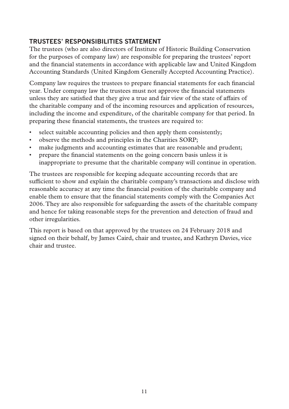## **TRUSTEES' RESPONSIBILITIES STATEMENT**

The trustees (who are also directors of Institute of Historic Building Conservation for the purposes of company law) are responsible for preparing the trustees' report and the financial statements in accordance with applicable law and United Kingdom Accounting Standards (United Kingdom Generally Accepted Accounting Practice).

Company law requires the trustees to prepare financial statements for each financial year. Under company law the trustees must not approve the financial statements unless they are satisfied that they give a true and fair view of the state of affairs of the charitable company and of the incoming resources and application of resources, including the income and expenditure, of the charitable company for that period. In preparing these financial statements, the trustees are required to:

- select suitable accounting policies and then apply them consistently;
- observe the methods and principles in the Charities SORP;
- make judgments and accounting estimates that are reasonable and prudent;
- prepare the financial statements on the going concern basis unless it is inappropriate to presume that the charitable company will continue in operation.

The trustees are responsible for keeping adequate accounting records that are sufficient to show and explain the charitable company's transactions and disclose with reasonable accuracy at any time the financial position of the charitable company and enable them to ensure that the financial statements comply with the Companies Act 2006. They are also responsible for safeguarding the assets of the charitable company and hence for taking reasonable steps for the prevention and detection of fraud and other irregularities.

This report is based on that approved by the trustees on 24 February 2018 and signed on their behalf, by James Caird, chair and trustee, and Kathryn Davies, vice chair and trustee.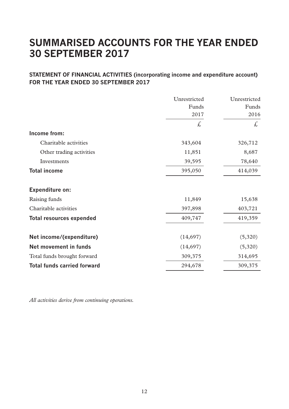## **SUMMARISED ACCOUNTS FOR THE YEAR ENDED 30 SEPTEMBER 2017**

#### **STATEMENT OF FINANCIAL ACTIVITIES (incorporating income and expenditure account) FOR THE YEAR ENDED 30 SEPTEMBER 2017**

|                                    | Unrestricted | Unrestricted |
|------------------------------------|--------------|--------------|
|                                    | Funds        | Funds        |
|                                    | 2017         | 2016         |
|                                    | £,           | £,           |
| Income from:                       |              |              |
| Charitable activities              | 343,604      | 326,712      |
| Other trading activities           | 11,851       | 8,687        |
| Investments                        | 39,595       | 78,640       |
| <b>Total income</b>                | 395,050      | 414,039      |
| Expenditure on:                    |              |              |
| Raising funds                      | 11,849       | 15,638       |
| Charitable activities              | 397,898      | 403,721      |
| <b>Total resources expended</b>    | 409,747      | 419,359      |
| Net income/(expenditure)           | (14,697)     | (5,320)      |
| Net movement in funds              | (14,697)     | (5,320)      |
| Total funds brought forward        | 309,375      | 314,695      |
| <b>Total funds carried forward</b> | 294,678      | 309,375      |
|                                    |              |              |

*All activities derive from continuing operations.*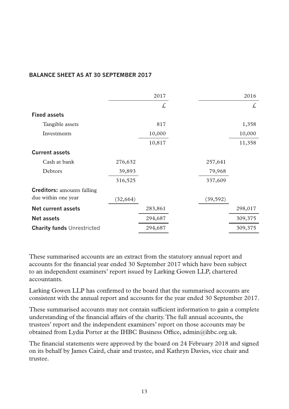#### **BALANCE SHEET AS AT 30 SEPTEMBER 2017**

|                                   |           | 2017    |           | 2016    |
|-----------------------------------|-----------|---------|-----------|---------|
|                                   |           | £.      |           | £,      |
| <b>Fixed assets</b>               |           |         |           |         |
| Tangible assets                   |           | 817     |           | 1,358   |
| Investments                       |           | 10,000  |           | 10,000  |
|                                   |           | 10,817  |           | 11,358  |
| <b>Current assets</b>             |           |         |           |         |
| Cash at bank                      | 276,632   |         | 257,641   |         |
| Debtors                           | 39,893    |         | 79,968    |         |
|                                   | 316,525   |         | 337,609   |         |
| <b>Creditors:</b> amounts falling |           |         |           |         |
| due within one year               | (32, 664) |         | (39, 592) |         |
| Net current assets                |           | 283,861 |           | 298,017 |
| Net assets                        |           | 294,687 |           | 309,375 |
| <b>Charity funds Unrestricted</b> |           | 294,687 |           | 309,375 |

These summarised accounts are an extract from the statutory annual report and accounts for the financial year ended 30 September 2017 which have been subject to an independent examiners' report issued by Larking Gowen LLP, chartered accountants.

Larking Gowen LLP has confirmed to the board that the summarised accounts are consistent with the annual report and accounts for the year ended 30 September 2017.

These summarised accounts may not contain sufficient information to gain a complete understanding of the financial affairs of the charity. The full annual accounts, the trustees' report and the independent examiners' report on those accounts may be obtained from Lydia Porter at the IHBC Business Office, admin@ihbc.org.uk.

The financial statements were approved by the board on 24 February 2018 and signed on its behalf by James Caird, chair and trustee, and Kathryn Davies, vice chair and trustee.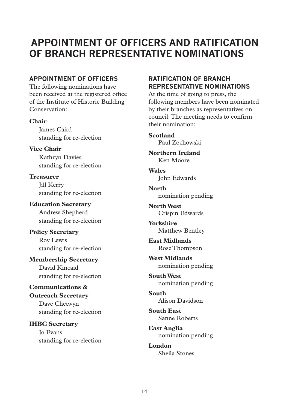## **APPOINTMENT OF OFFICERS AND RATIFICATION OF BRANCH REPRESENTATIVE NOMINATIONS**

#### **APPOINTMENT OF OFFICERS**

The following nominations have been received at the registered office of the Institute of Historic Building Conservation:

#### **Chair**

James Caird standing for re-election

**Vice Chair** Kathryn Davies standing for re-election

**Treasurer Jill Kerry** standing for re-election

#### **Education Secretary**

Andrew Shepherd standing for re-election

**Policy Secretary** Roy Lewis standing for re-election

## **Membership Secretary**

David Kincaid standing for re-election

#### **Communications &**

## **Outreach Secretary**

Dave Chetwyn standing for re-election

**IHBC Secretary** Jo Evans standing for re-election

## **RATIFICATION OF BRANCH REPRESENTATIVE NOMINATIONS**

At the time of going to press, the following members have been nominated by their branches as representatives on council. The meeting needs to confirm their nomination:

**Scotland** Paul Zochowski

**Northern Ireland** Ken Moore

**Wales** John Edwards

**North** nomination pending

**North West** Crispin Edwards

**Yorkshire** Matthew Bentley

**East Midlands** Rose Thompson

**West Midlands** nomination pending

**South West** nomination pending

**South** Alison Davidson

**South East** Sanne Roberts

**East Anglia** nomination pending

**London** Sheila Stones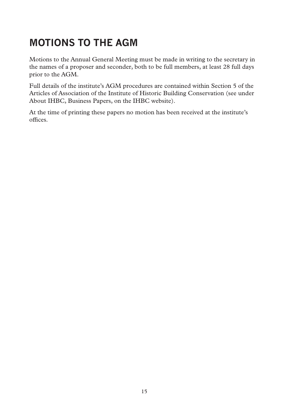# **MOTIONS TO THE AGM**

Motions to the Annual General Meeting must be made in writing to the secretary in the names of a proposer and seconder, both to be full members, at least 28 full days prior to the AGM.

Full details of the institute's AGM procedures are contained within Section 5 of the Articles of Association of the Institute of Historic Building Conservation (see under About IHBC, Business Papers, on the IHBC website).

At the time of printing these papers no motion has been received at the institute's offices.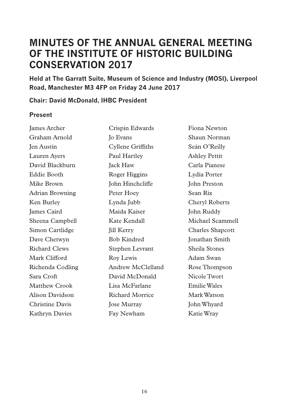## **MINUTES OF THE ANNUAL GENERAL MEETING OF THE INSTITUTE OF HISTORIC BUILDING CONSERVATION 2017**

**Held at The Garratt Suite, Museum of Science and Industry (MOSI), Liverpool Road, Manchester M3 4FP on Friday 24 June 2017**

#### **Chair: David McDonald, IHBC President**

#### **Present**

James Archer Graham Arnold Jen Austin Lauren Ayers David Blackburn Eddie Booth Mike Brown Adrian Browning Ken Burley James Caird Sheena Campbell Simon Cartlidge Dave Chetwyn Richard Clews Mark Clifford Richenda Codling Sara Croft Matthew Crook Alison Davidson Christine Davis Kathryn Davies

Crispin Edwards Jo Evans Cyllene Griffiths Paul Hartley Jack Haw Roger Higgins John Hinchcliffe Peter Hoey Lynda Jubb Maida Kaiser Kate Kendall **Jill Kerry** Bob Kindred Stephen Levrant Roy Lewis Andrew McClelland David McDonald Lisa McFarlane Richard Morrice Jose Murray Fay Newham

Fiona Newton Shaun Norman Seán O'Reilly Ashley Pettit Carla Pianese Lydia Porter John Preston Sean Rix Cheryl Roberts John Ruddy Michael Scammell Charles Shapcott Jonathan Smith Sheila Stones Adam Swan Rose Thompson Nicole Twort Emilie Wales Mark Watson John Whyard Katie Wray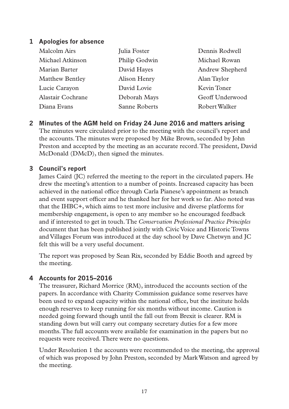#### **1 Apologies for absence**

| Malcolm Airs           | Julia Foster  | Dennis Rodwell  |
|------------------------|---------------|-----------------|
| Michael Atkinson       | Philip Godwin | Michael Rowan   |
| Marian Barter          | David Hayes   | Andrew Shepherd |
| <b>Matthew Bentley</b> | Alison Henry  | Alan Taylor     |
| Lucie Carayon          | David Lovie   | Kevin Toner     |
| Alastair Cochrane      | Deborah Mays  | Geoff Underwood |
| Diana Evans            | Sanne Roberts | Robert Walker   |

**2 Minutes of the AGM held on Friday 24 June 2016 and matters arising** The minutes were circulated prior to the meeting with the council's report and the accounts. The minutes were proposed by Mike Brown, seconded by John Preston and accepted by the meeting as an accurate record. The president, David McDonald (DMcD), then signed the minutes.

#### **3 Council's report**

James Caird (JC) referred the meeting to the report in the circulated papers. He drew the meeting's attention to a number of points. Increased capacity has been achieved in the national office through Carla Pianese's appointment as branch and event support officer and he thanked her for her work so far. Also noted was that the IHBC+, which aims to test more inclusive and diverse platforms for membership engagement, is open to any member so he encouraged feedback and if interested to get in touch. The *Conservation Professional Practice Principles* document that has been published jointly with Civic Voice and Historic Towns and Villages Forum was introduced at the day school by Dave Chetwyn and JC felt this will be a very useful document.

The report was proposed by Sean Rix, seconded by Eddie Booth and agreed by the meeting.

#### **4 Accounts for 2015–2016**

The treasurer, Richard Morrice (RM), introduced the accounts section of the papers. In accordance with Charity Commission guidance some reserves have been used to expand capacity within the national office, but the institute holds enough reserves to keep running for six months without income. Caution is needed going forward though until the fall out from Brexit is clearer. RM is standing down but will carry out company secretary duties for a few more months. The full accounts were available for examination in the papers but no requests were received. There were no questions.

Under Resolution 1 the accounts were recommended to the meeting, the approval of which was proposed by John Preston, seconded by Mark Watson and agreed by the meeting.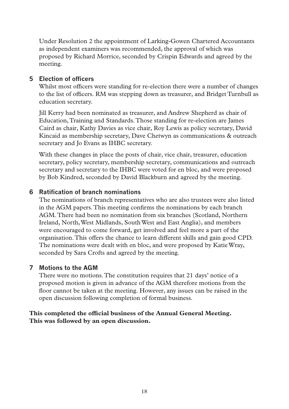Under Resolution 2 the appointment of Larking-Gowen Chartered Accountants as independent examiners was recommended, the approval of which was proposed by Richard Morrice, seconded by Crispin Edwards and agreed by the meeting.

#### **5 Election of officers**

Whilst most officers were standing for re-election there were a number of changes to the list of officers. RM was stepping down as treasurer, and Bridget Turnbull as education secretary.

Jill Kerry had been nominated as treasurer, and Andrew Shepherd as chair of Education, Training and Standards. Those standing for re-election are James Caird as chair, Kathy Davies as vice chair, Roy Lewis as policy secretary, David Kincaid as membership secretary, Dave Chetwyn as communications & outreach secretary and Jo Evans as IHBC secretary.

With these changes in place the posts of chair, vice chair, treasurer, education secretary, policy secretary, membership secretary, communications and outreach secretary and secretary to the IHBC were voted for en bloc, and were proposed by Bob Kindred, seconded by David Blackburn and agreed by the meeting.

#### **6 Ratification of branch nominations**

The nominations of branch representatives who are also trustees were also listed in the AGM papers. This meeting confirms the nominations by each branch AGM. There had been no nomination from six branches (Scotland, Northern Ireland, North, West Midlands, South West and East Anglia), and members were encouraged to come forward, get involved and feel more a part of the organisation. This offers the chance to learn different skills and gain good CPD. The nominations were dealt with en bloc, and were proposed by Katie Wray, seconded by Sara Crofts and agreed by the meeting.

#### **7 Motions to the AGM**

There were no motions. The constitution requires that 21 days' notice of a proposed motion is given in advance of the AGM therefore motions from the floor cannot be taken at the meeting. However, any issues can be raised in the open discussion following completion of formal business.

#### **This completed the official business of the Annual General Meeting. This was followed by an open discussion.**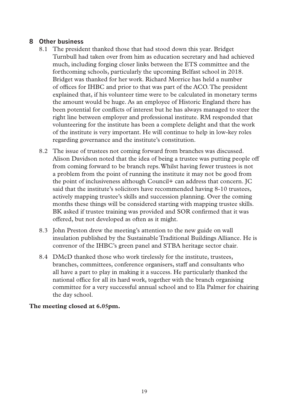#### **8 Other business**

- 8.1 The president thanked those that had stood down this year. Bridget Turnbull had taken over from him as education secretary and had achieved much, including forging closer links between the ETS committee and the forthcoming schools, particularly the upcoming Belfast school in 2018. Bridget was thanked for her work. Richard Morrice has held a number of offices for IHBC and prior to that was part of the ACO. The president explained that, if his volunteer time were to be calculated in monetary terms the amount would be huge. As an employee of Historic England there has been potential for conflicts of interest but he has always managed to steer the right line between employer and professional institute. RM responded that volunteering for the institute has been a complete delight and that the work of the institute is very important. He will continue to help in low-key roles regarding governance and the institute's constitution.
- 8.2 The issue of trustees not coming forward from branches was discussed. Alison Davidson noted that the idea of being a trustee was putting people off from coming forward to be branch reps. Whilst having fewer trustees is not a problem from the point of running the institute it may not be good from the point of inclusiveness although Council+ can address that concern. JC said that the institute's solicitors have recommended having 8-10 trustees, actively mapping trustee's skills and succession planning. Over the coming months these things will be considered starting with mapping trustee skills. BK asked if trustee training was provided and SOR confirmed that it was offered, but not developed as often as it might.
- 8.3 John Preston drew the meeting's attention to the new guide on wall insulation published by the Sustainable Traditional Buildings Alliance. He is convenor of the IHBC's green panel and STBA heritage sector chair.
- 8.4 DMcD thanked those who work tirelessly for the institute, trustees, branches, committees, conference organisers, staff and consultants who all have a part to play in making it a success. He particularly thanked the national office for all its hard work, together with the branch organising committee for a very successful annual school and to Ela Palmer for chairing the day school.

#### **The meeting closed at 6.05pm.**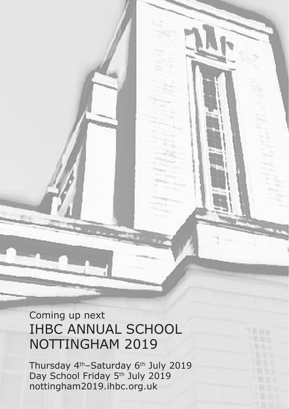# Coming up next IHBC ANNUAL SCHOOL NOTTINGHAM 2019

 $\overline{a}$ Thursday 4th–Saturday 6th July 2019 Day School Friday 5<sup>th</sup> July 2019 nottingham2019.ihbc.org.uk